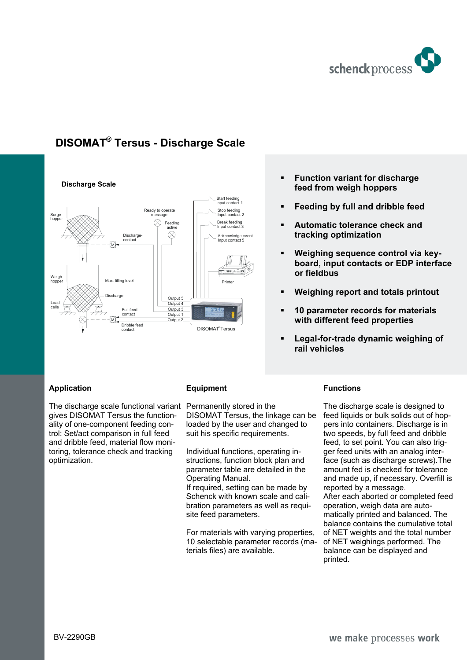

## **DISOMAT® Tersus - Discharge Scale**



### **Application**

The discharge scale functional variant gives DISOMAT Tersus the functionality of one-component feeding control: Set/act comparison in full feed and dribble feed, material flow monitoring, tolerance check and tracking optimization.

#### **Equipment**

Permanently stored in the DISOMAT Tersus, the linkage can be loaded by the user and changed to suit his specific requirements.

Individual functions, operating instructions, function block plan and parameter table are detailed in the Operating Manual.

If required, setting can be made by Schenck with known scale and calibration parameters as well as requisite feed parameters.

For materials with varying properties, 10 selectable parameter records (materials files) are available.

# **Feeding by full and dribble feed**

 **Function variant for discharge feed from weigh hoppers** 

- **Automatic tolerance check and tracking optimization**
- **Weighing sequence control via keyboard, input contacts or EDP interface or fieldbus**
- **Weighing report and totals printout**
- **10 parameter records for materials with different feed properties**
- **Legal-for-trade dynamic weighing of rail vehicles**

#### **Functions**

The discharge scale is designed to feed liquids or bulk solids out of hoppers into containers. Discharge is in two speeds, by full feed and dribble feed, to set point. You can also trigger feed units with an analog interface (such as discharge screws).The amount fed is checked for tolerance and made up, if necessary. Overfill is reported by a message. After each aborted or completed feed operation, weigh data are automatically printed and balanced. The balance contains the cumulative total of NET weights and the total number of NET weighings performed. The balance can be displayed and printed.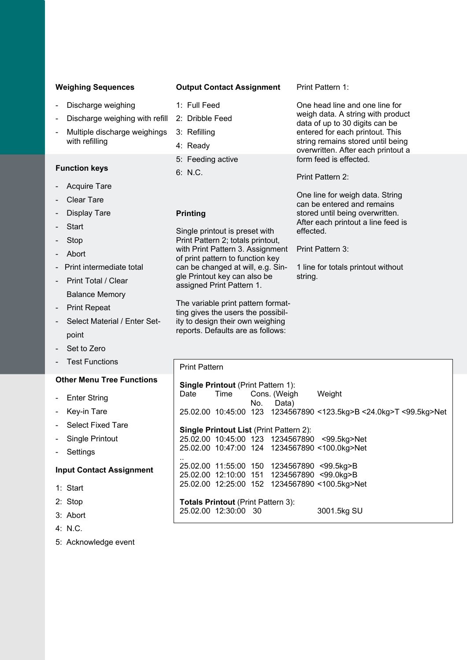#### **Weighing Sequences**

- Discharge weighing
- Discharge weighing with refill
- Multiple discharge weighings with refilling

### **Function keys**

- Acquire Tare
- **Clear Tare**
- Display Tare
- **Start**
- **Stop**
- Abort
- Print intermediate total
- Print Total / Clear Balance Memory
- Print Repeat
- Select Material / Enter Setpoint
- Set to Zero
- **Test Functions**

#### **Other Menu Tree Functions**

- **Enter String**
- **Key-in Tare**
- Select Fixed Tare
- Single Printout
- **Settings**

#### **Input Contact Assignment**

- 1: Start
- 2: Stop
- 3: Abort
- 4: N.C.
- 5: Acknowledge event

#### **Output Contact Assignment**

- 1: Full Feed
	-
- 3: Refilling
- 4: Ready
- 5: Feeding active

#### 6: N.C.

#### **Printing**

Single printout is preset with Print Pattern 2; totals printout, with Print Pattern 3. Assignment of print pattern to function key can be changed at will, e.g. Single Printout key can also be assigned Print Pattern 1.

The variable print pattern formatting gives the users the possibility to design their own weighing reports. Defaults are as follows:

Print Pattern 1:

One head line and one line for weigh data. A string with product data of up to 30 digits can be entered for each printout. This string remains stored until being overwritten. After each printout a form feed is effected.

Print Pattern 2:

One line for weigh data. String can be entered and remains stored until being overwritten. After each printout a line feed is effected.

Print Pattern 3:

1 line for totals printout without string.

| <b>Print Pattern</b>                                              |  |  |  |
|-------------------------------------------------------------------|--|--|--|
| <b>Single Printout (Print Pattern 1):</b>                         |  |  |  |
| Date Time Cons. (Weigh Weight<br>No. Data)                        |  |  |  |
| 25.02.00 10:45:00 123 1234567890 <123.5kg>B <24.0kg>T <99.5kg>Net |  |  |  |
| <b>Single Printout List (Print Pattern 2):</b>                    |  |  |  |
| 25.02.00 10:45:00 123 1234567890 <99.5kg>Net                      |  |  |  |
| 25.02.00 10:47:00 124 1234567890 <100.0kg>Net                     |  |  |  |
| 25.02.00 11:55:00 150 1234567890 <99.5kg>B                        |  |  |  |
| 25.02.00 12:10:00 151 1234567890 <99.0kg>B                        |  |  |  |
| 25.02.00 12:25:00 152 1234567890 <100.5kg>Net                     |  |  |  |
| <b>Totals Printout (Print Pattern 3):</b>                         |  |  |  |
| 25.02.00 12:30:00 30<br>3001.5kg SU                               |  |  |  |

# 2: Dribble Feed

- 
- 
-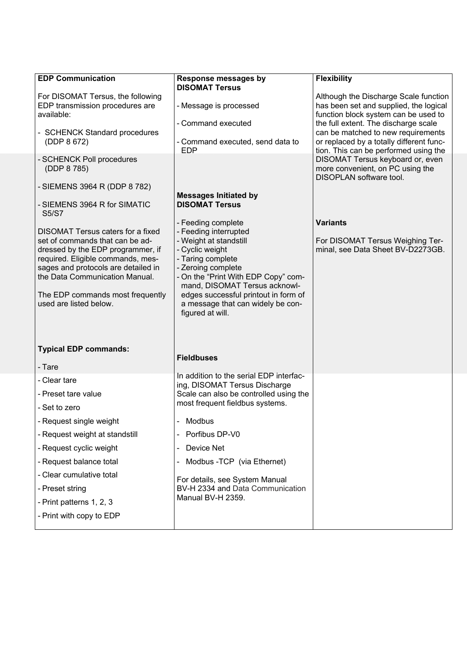| <b>EDP Communication</b>                                                                                                                                                                                                                                                              | <b>Response messages by</b><br><b>DISOMAT Tersus</b>                                                                                                                                                                                                                                                         | <b>Flexibility</b>                                                                                                                                              |
|---------------------------------------------------------------------------------------------------------------------------------------------------------------------------------------------------------------------------------------------------------------------------------------|--------------------------------------------------------------------------------------------------------------------------------------------------------------------------------------------------------------------------------------------------------------------------------------------------------------|-----------------------------------------------------------------------------------------------------------------------------------------------------------------|
| For DISOMAT Tersus, the following<br>EDP transmission procedures are<br>available:                                                                                                                                                                                                    | - Message is processed                                                                                                                                                                                                                                                                                       | Although the Discharge Scale function<br>has been set and supplied, the logical<br>function block system can be used to                                         |
| - SCHENCK Standard procedures<br>(DDP 8 672)                                                                                                                                                                                                                                          | - Command executed<br>- Command executed, send data to<br><b>EDP</b>                                                                                                                                                                                                                                         | the full extent. The discharge scale<br>can be matched to new requirements<br>or replaced by a totally different func-<br>tion. This can be performed using the |
| - SCHENCK Poll procedures<br>(DDP 8 785)                                                                                                                                                                                                                                              |                                                                                                                                                                                                                                                                                                              | DISOMAT Tersus keyboard or, even<br>more convenient, on PC using the<br>DISOPLAN software tool.                                                                 |
| - SIEMENS 3964 R (DDP 8 782)<br>- SIEMENS 3964 R for SIMATIC<br><b>S5/S7</b>                                                                                                                                                                                                          | <b>Messages Initiated by</b><br><b>DISOMAT Tersus</b>                                                                                                                                                                                                                                                        |                                                                                                                                                                 |
| DISOMAT Tersus caters for a fixed<br>set of commands that can be ad-<br>dressed by the EDP programmer, if<br>required. Eligible commands, mes-<br>sages and protocols are detailed in<br>the Data Communication Manual.<br>The EDP commands most frequently<br>used are listed below. | - Feeding complete<br>- Feeding interrupted<br>- Weight at standstill<br>- Cyclic weight<br>- Taring complete<br>- Zeroing complete<br>- On the "Print With EDP Copy" com-<br>mand, DISOMAT Tersus acknowl-<br>edges successful printout in form of<br>a message that can widely be con-<br>figured at will. | <b>Variants</b><br>For DISOMAT Tersus Weighing Ter-<br>minal, see Data Sheet BV-D2273GB.                                                                        |
| <b>Typical EDP commands:</b><br>- Tare                                                                                                                                                                                                                                                | <b>Fieldbuses</b>                                                                                                                                                                                                                                                                                            |                                                                                                                                                                 |
| - Clear tare<br>- Preset tare value<br>- Set to zero<br>- Request single weight<br>- Request weight at standstill                                                                                                                                                                     | In addition to the serial EDP interfac-<br>ing, DISOMAT Tersus Discharge<br>Scale can also be controlled using the<br>most frequent fieldbus systems.<br>- Modbus<br>- Porfibus DP-V0                                                                                                                        |                                                                                                                                                                 |
| - Request cyclic weight                                                                                                                                                                                                                                                               | - Device Net                                                                                                                                                                                                                                                                                                 |                                                                                                                                                                 |
| - Request balance total<br>- Clear cumulative total<br>- Preset string<br>- Print patterns 1, 2, 3<br>- Print with copy to EDP                                                                                                                                                        | Modbus - TCP (via Ethernet)<br>For details, see System Manual<br>BV-H 2334 and Data Communication<br>Manual BV-H 2359.                                                                                                                                                                                       |                                                                                                                                                                 |